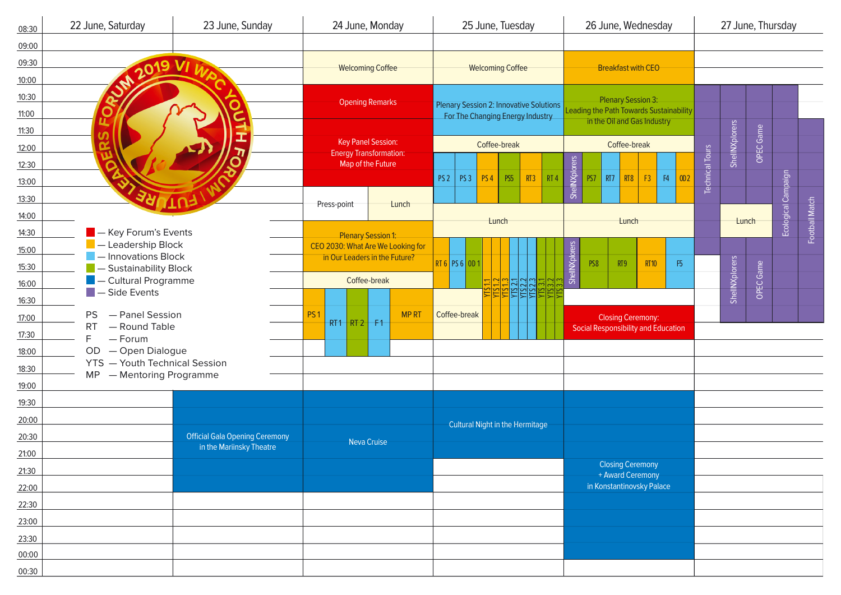| 08:30 | 22 June, Saturday                                                                                                                | 23 June, Sunday           | 24 June, Monday                                                                    |       |                                                                                    | 25 June, Tuesday                |                                                         | 26 June, Wednesday                                                   |                             |    |                   | 27 June, Thursday      |                     |                |  |  |
|-------|----------------------------------------------------------------------------------------------------------------------------------|---------------------------|------------------------------------------------------------------------------------|-------|------------------------------------------------------------------------------------|---------------------------------|---------------------------------------------------------|----------------------------------------------------------------------|-----------------------------|----|-------------------|------------------------|---------------------|----------------|--|--|
| 09:00 |                                                                                                                                  |                           |                                                                                    |       |                                                                                    |                                 |                                                         |                                                                      |                             |    |                   |                        |                     |                |  |  |
| 09:30 |                                                                                                                                  |                           |                                                                                    |       |                                                                                    |                                 |                                                         |                                                                      |                             |    |                   |                        |                     |                |  |  |
| 10:00 | M 2019 VI                                                                                                                        |                           | <b>Welcoming Coffee</b>                                                            |       |                                                                                    | <b>Welcoming Coffee</b>         |                                                         |                                                                      | <b>Breakfast with CEO</b>   |    |                   |                        |                     |                |  |  |
| 10:30 |                                                                                                                                  |                           |                                                                                    |       | <b>Plenary Session 2: Innovative Solutions</b><br>For The Changing Energy Industry |                                 |                                                         | <b>Plenary Session 3:</b><br>Leading the Path Towards Sustainability |                             |    |                   |                        |                     |                |  |  |
| 11:00 |                                                                                                                                  |                           | <b>Opening Remarks</b>                                                             |       |                                                                                    |                                 |                                                         |                                                                      |                             |    |                   |                        |                     |                |  |  |
| 11:30 |                                                                                                                                  | -                         |                                                                                    |       |                                                                                    |                                 |                                                         |                                                                      | in the Oil and Gas Industry |    |                   |                        |                     |                |  |  |
| 12:00 |                                                                                                                                  | Ξ                         | <b>Key Panel Session:</b>                                                          |       | Coffee-break                                                                       |                                 |                                                         | Coffee-break                                                         |                             |    |                   | ShellNXplorers         | OPEC Game           |                |  |  |
| 12:30 | $\overline{\bm{\pi}}$                                                                                                            |                           | <b>Energy Transformation:</b><br>Map of the Future                                 |       |                                                                                    |                                 |                                                         |                                                                      |                             |    |                   |                        |                     |                |  |  |
| 13:00 |                                                                                                                                  |                           |                                                                                    |       | PS <sub>2</sub>                                                                    | PS <sub>3</sub>                 | <b>PS4</b><br>PS <sub>5</sub><br>RT3<br>RT <sub>4</sub> | ShellNXplorers<br>PS7                                                | RT7<br>RT8                  | F3 | ${\sf F4}$<br>OD2 | <b>Technical Tours</b> |                     |                |  |  |
| 13:30 | ERT                                                                                                                              | לחוז                      |                                                                                    |       |                                                                                    |                                 |                                                         |                                                                      |                             |    |                   |                        |                     |                |  |  |
| 14:00 |                                                                                                                                  | Press-point               | Lunch                                                                              |       |                                                                                    |                                 |                                                         |                                                                      |                             |    |                   |                        | Ecological Campaign | Football Match |  |  |
| 14:30 | $\blacksquare$ - Key Forum's Events                                                                                              | <b>Plenary Session 1:</b> |                                                                                    | Lunch |                                                                                    |                                 | Lunch                                                   |                                                                      |                             |    |                   | Lunch                  |                     |                |  |  |
| 15:00 | - Leadership Block<br>- Innovations Block<br>- Sustainability Block<br><b>Cultural Programme</b><br>$\blacksquare$ - Side Events |                           | CEO 2030: What Are We Looking for<br>in Our Leaders in the Future?<br>Coffee-break |       | <b>RT 6 PS 6 0D 1</b>                                                              |                                 |                                                         |                                                                      |                             |    |                   |                        |                     |                |  |  |
| 15:30 |                                                                                                                                  |                           |                                                                                    |       |                                                                                    |                                 |                                                         | ShellNXplorers<br>PS8<br>RT9<br><b>RT10</b>                          | F5                          |    |                   |                        |                     |                |  |  |
| 16:00 |                                                                                                                                  |                           |                                                                                    |       |                                                                                    |                                 |                                                         |                                                                      |                             |    |                   | ShellNXplorers         | OPEC Game           |                |  |  |
| 16:30 |                                                                                                                                  |                           |                                                                                    |       |                                                                                    |                                 |                                                         |                                                                      |                             |    |                   |                        |                     |                |  |  |
| 17:00 | - Panel Session<br>PS.<br>- Round Table<br><b>RT</b><br>$-$ Forum<br>F<br>OD<br>- Open Dialogue                                  |                           | <b>MPRT</b><br>PS <sub>1</sub>                                                     |       | Coffee-break                                                                       |                                 |                                                         | <b>Closing Ceremony:</b>                                             |                             |    |                   |                        |                     |                |  |  |
| 17:30 |                                                                                                                                  |                           | $RT1$ RT 2 F1                                                                      |       |                                                                                    |                                 |                                                         | <b>Social Responsibility and Education</b>                           |                             |    |                   |                        |                     |                |  |  |
| 18:00 |                                                                                                                                  |                           |                                                                                    |       |                                                                                    |                                 |                                                         |                                                                      |                             |    |                   |                        |                     |                |  |  |
| 18:30 | <b>YTS</b> - Youth Technical Session                                                                                             |                           |                                                                                    |       |                                                                                    |                                 |                                                         |                                                                      |                             |    |                   |                        |                     |                |  |  |
| 19:00 | - Mentoring Programme<br>MP                                                                                                      |                           |                                                                                    |       |                                                                                    |                                 |                                                         |                                                                      |                             |    |                   |                        |                     |                |  |  |
| 19:30 |                                                                                                                                  |                           |                                                                                    |       |                                                                                    |                                 |                                                         |                                                                      |                             |    |                   |                        |                     |                |  |  |
| 20:00 |                                                                                                                                  |                           |                                                                                    |       |                                                                                    |                                 |                                                         |                                                                      |                             |    |                   |                        |                     |                |  |  |
| 20:30 | <b>Official Gala Opening Ceremony</b>                                                                                            |                           |                                                                                    |       |                                                                                    | Cultural Night in the Hermitage |                                                         |                                                                      |                             |    |                   |                        |                     |                |  |  |
| 21:00 |                                                                                                                                  | in the Mariinsky Theatre  | <b>Neva Cruise</b>                                                                 |       |                                                                                    |                                 |                                                         |                                                                      |                             |    |                   |                        |                     |                |  |  |
| 21:30 |                                                                                                                                  |                           |                                                                                    |       |                                                                                    |                                 |                                                         | <b>Closing Ceremony</b><br>+ Award Ceremony                          |                             |    |                   |                        |                     |                |  |  |
| 22:00 |                                                                                                                                  |                           |                                                                                    |       |                                                                                    |                                 |                                                         | in Konstantinovsky Palace                                            |                             |    |                   |                        |                     |                |  |  |
| 22:30 |                                                                                                                                  |                           |                                                                                    |       |                                                                                    |                                 |                                                         |                                                                      |                             |    |                   |                        |                     |                |  |  |
| 23:00 |                                                                                                                                  |                           |                                                                                    |       |                                                                                    |                                 |                                                         |                                                                      |                             |    |                   |                        |                     |                |  |  |
| 23:30 |                                                                                                                                  |                           |                                                                                    |       |                                                                                    |                                 |                                                         |                                                                      |                             |    |                   |                        |                     |                |  |  |
| 00:00 |                                                                                                                                  |                           |                                                                                    |       |                                                                                    |                                 |                                                         |                                                                      |                             |    |                   |                        |                     |                |  |  |
| 00:30 |                                                                                                                                  |                           |                                                                                    |       |                                                                                    |                                 |                                                         |                                                                      |                             |    |                   |                        |                     |                |  |  |